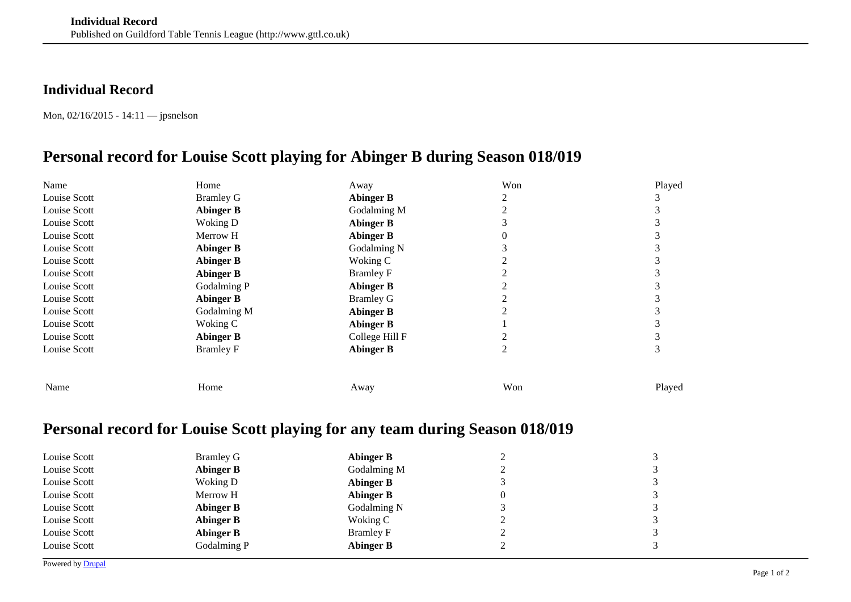## **Individual Record**

Mon, 02/16/2015 - 14:11 — jpsnelson

## **Personal record for Louise Scott playing for Abinger B during Season 018/019**

| Name         | Home             | Away             | Won | Played |
|--------------|------------------|------------------|-----|--------|
| Louise Scott | <b>Bramley G</b> | <b>Abinger B</b> |     |        |
| Louise Scott | <b>Abinger B</b> | Godalming M      |     |        |
| Louise Scott | Woking D         | <b>Abinger B</b> |     |        |
| Louise Scott | Merrow H         | <b>Abinger B</b> |     |        |
| Louise Scott | <b>Abinger B</b> | Godalming N      |     |        |
| Louise Scott | <b>Abinger B</b> | Woking C         |     |        |
| Louise Scott | <b>Abinger B</b> | <b>Bramley F</b> |     |        |
| Louise Scott | Godalming P      | <b>Abinger B</b> |     |        |
| Louise Scott | <b>Abinger B</b> | <b>Bramley G</b> |     |        |
| Louise Scott | Godalming M      | <b>Abinger B</b> |     |        |
| Louise Scott | Woking C         | <b>Abinger B</b> |     |        |
| Louise Scott | <b>Abinger B</b> | College Hill F   |     |        |
| Louise Scott | <b>Bramley F</b> | <b>Abinger B</b> |     |        |
| Name         | Home             | Away             | Won | Played |

## **Personal record for Louise Scott playing for any team during Season 018/019**

| Louise Scott | <b>Bramley G</b> | <b>Abinger B</b> |   | 3                       |
|--------------|------------------|------------------|---|-------------------------|
| Louise Scott | <b>Abinger B</b> | Godalming M      |   | $\mathbf{\overline{3}}$ |
| Louise Scott | Woking D         | Abinger B        |   | 3                       |
| Louise Scott | Merrow H         | <b>Abinger B</b> | v | 3                       |
| Louise Scott | <b>Abinger B</b> | Godalming N      |   | 3                       |
| Louise Scott | <b>Abinger B</b> | Woking C         |   | 3                       |
| Louise Scott | <b>Abinger B</b> | <b>Bramley F</b> |   | 3                       |
| Louise Scott | Godalming P      | Abinger B        |   | 3                       |